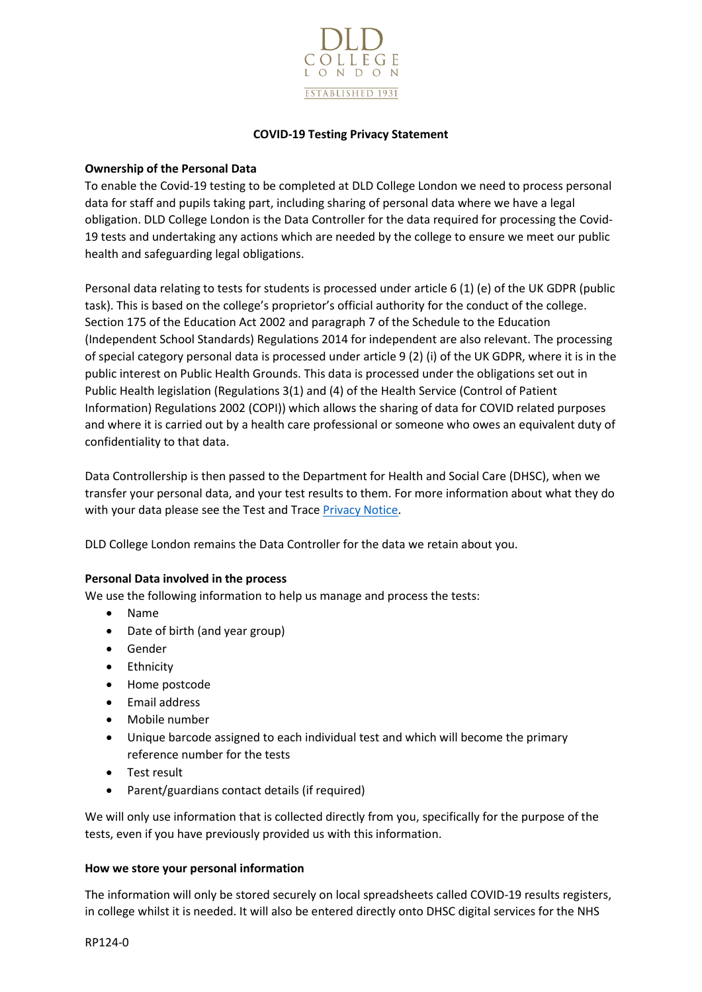

# **COVID-19 Testing Privacy Statement**

# **Ownership of the Personal Data**

To enable the Covid-19 testing to be completed at DLD College London we need to process personal data for staff and pupils taking part, including sharing of personal data where we have a legal obligation. DLD College London is the Data Controller for the data required for processing the Covid-19 tests and undertaking any actions which are needed by the college to ensure we meet our public health and safeguarding legal obligations.

Personal data relating to tests for students is processed under article 6 (1) (e) of the UK GDPR (public task). This is based on the college's proprietor's official authority for the conduct of the college. Section 175 of the Education Act 2002 and paragraph 7 of the Schedule to the Education (Independent School Standards) Regulations 2014 for independent are also relevant. The processing of special category personal data is processed under article 9 (2) (i) of the UK GDPR, where it is in the public interest on Public Health Grounds. This data is processed under the obligations set out in Public Health legislation (Regulations 3(1) and (4) of the Health Service (Control of Patient Information) Regulations 2002 (COPI)) which allows the sharing of data for COVID related purposes and where it is carried out by a health care professional or someone who owes an equivalent duty of confidentiality to that data.

Data Controllership is then passed to the Department for Health and Social Care (DHSC), when we transfer your personal data, and your test results to them. For more information about what they do with your data please see the Test and Trace [Privacy Notice.](https://contact-tracing.phe.gov.uk/help/privacy-notice)

DLD College London remains the Data Controller for the data we retain about you.

## **Personal Data involved in the process**

We use the following information to help us manage and process the tests:

- Name
- Date of birth (and year group)
- Gender
- Ethnicity
- Home postcode
- Email address
- Mobile number
- Unique barcode assigned to each individual test and which will become the primary reference number for the tests
- Test result
- Parent/guardians contact details (if required)

We will only use information that is collected directly from you, specifically for the purpose of the tests, even if you have previously provided us with this information.

## **How we store your personal information**

The information will only be stored securely on local spreadsheets called COVID-19 results registers, in college whilst it is needed. It will also be entered directly onto DHSC digital services for the NHS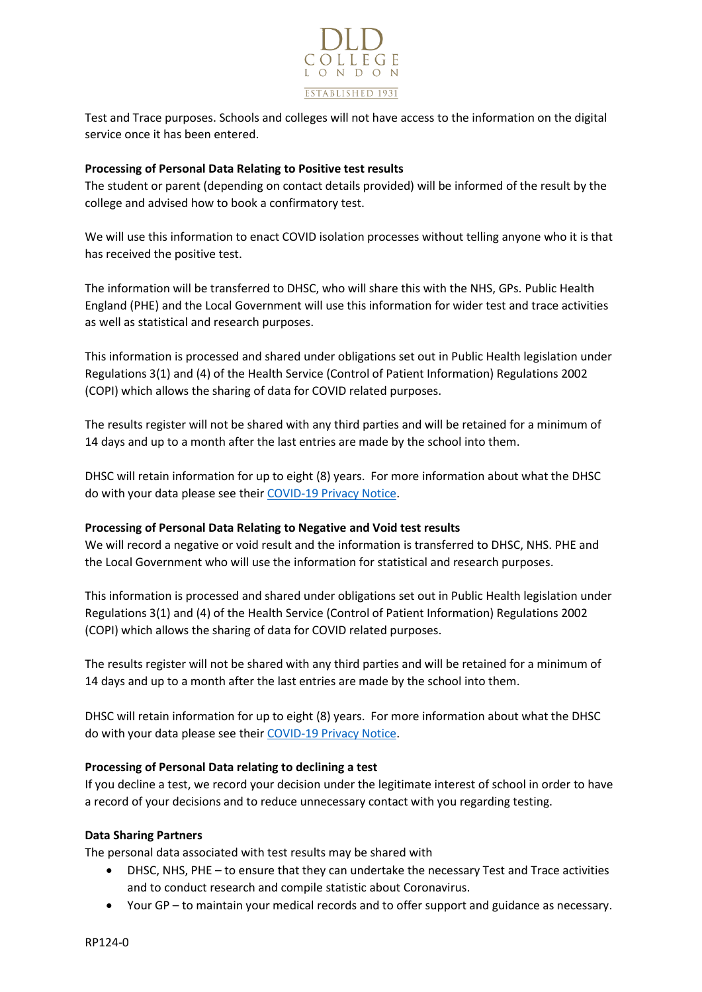

Test and Trace purposes. Schools and colleges will not have access to the information on the digital service once it has been entered.

# **Processing of Personal Data Relating to Positive test results**

The student or parent (depending on contact details provided) will be informed of the result by the college and advised how to book a confirmatory test.

We will use this information to enact COVID isolation processes without telling anyone who it is that has received the positive test.

The information will be transferred to DHSC, who will share this with the NHS, GPs. Public Health England (PHE) and the Local Government will use this information for wider test and trace activities as well as statistical and research purposes.

This information is processed and shared under obligations set out in Public Health legislation under Regulations 3(1) and (4) of the Health Service (Control of Patient Information) Regulations 2002 (COPI) which allows the sharing of data for COVID related purposes.

The results register will not be shared with any third parties and will be retained for a minimum of 14 days and up to a month after the last entries are made by the school into them.

DHSC will retain information for up to eight (8) years. For more information about what the DHSC do with your data please see thei[r COVID-19 Privacy Notice.](https://www.gov.uk/government/publications/coronavirus-covid-19-testing-privacy-information)

## **Processing of Personal Data Relating to Negative and Void test results**

We will record a negative or void result and the information is transferred to DHSC, NHS. PHE and the Local Government who will use the information for statistical and research purposes.

This information is processed and shared under obligations set out in Public Health legislation under Regulations 3(1) and (4) of the Health Service (Control of Patient Information) Regulations 2002 (COPI) which allows the sharing of data for COVID related purposes.

The results register will not be shared with any third parties and will be retained for a minimum of 14 days and up to a month after the last entries are made by the school into them.

DHSC will retain information for up to eight (8) years. For more information about what the DHSC do with your data please see thei[r COVID-19 Privacy Notice.](https://www.gov.uk/government/publications/coronavirus-covid-19-testing-privacy-information)

## **Processing of Personal Data relating to declining a test**

If you decline a test, we record your decision under the legitimate interest of school in order to have a record of your decisions and to reduce unnecessary contact with you regarding testing.

## **Data Sharing Partners**

The personal data associated with test results may be shared with

- DHSC, NHS, PHE to ensure that they can undertake the necessary Test and Trace activities and to conduct research and compile statistic about Coronavirus.
- Your GP to maintain your medical records and to offer support and guidance as necessary.